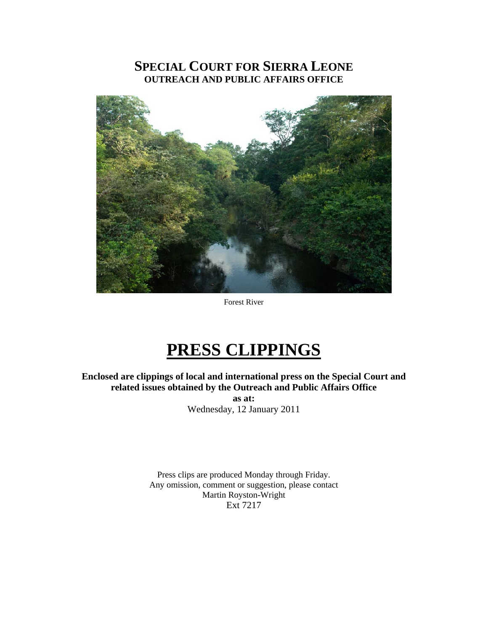## **SPECIAL COURT FOR SIERRA LEONE OUTREACH AND PUBLIC AFFAIRS OFFICE**



Forest River

## **PRESS CLIPPINGS**

**Enclosed are clippings of local and international press on the Special Court and related issues obtained by the Outreach and Public Affairs Office as at:**  Wednesday, 12 January 2011

> Press clips are produced Monday through Friday. Any omission, comment or suggestion, please contact Martin Royston-Wright Ext 7217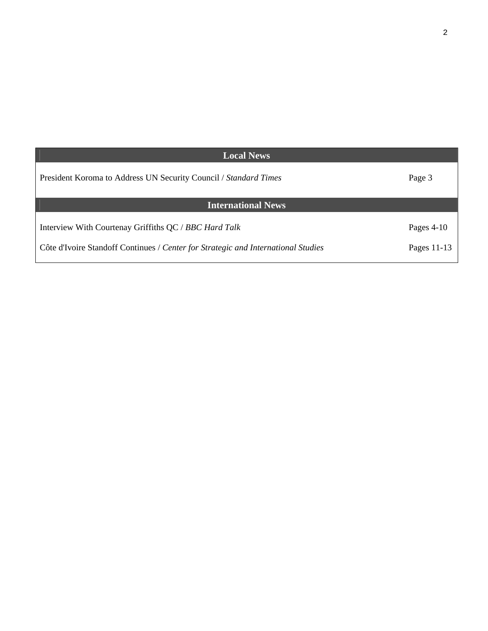| <b>Local News</b>                                                                 |               |
|-----------------------------------------------------------------------------------|---------------|
| President Koroma to Address UN Security Council / Standard Times                  | Page 3        |
| <b>International News</b>                                                         |               |
| Interview With Courtenay Griffiths QC / BBC Hard Talk                             | Pages $4-10$  |
| Côte d'Ivoire Standoff Continues / Center for Strategic and International Studies | Pages $11-13$ |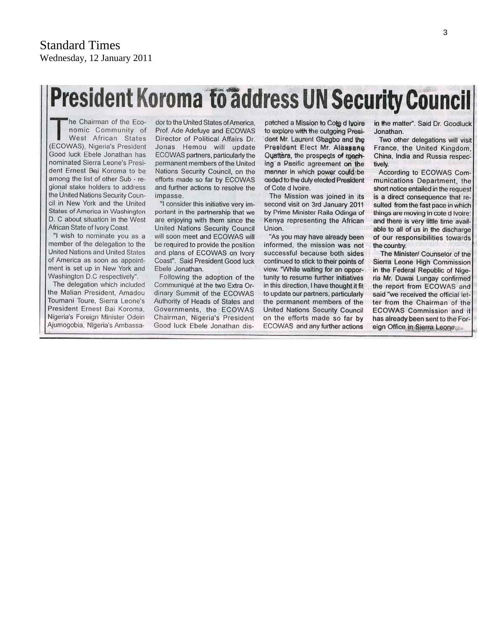# President Koroma to address UN Security Council

he Chairman of the Economic Community of West African States (ECOWAS), Nigeria's President Good luck Ebele Jonathan has nominated Sierra Leone's President Ernest Bai Koroma to be among the list of other Sub - regional stake holders to address the United Nations Security Council in New York and the United States of America in Washington D. C about situation in the West African State of Ivory Coast.

"I wish to nominate you as a member of the delegation to the United Nations and United States of America as soon as appointment is set up in New York and Washington D.C respectively".

The delegation which included the Malian President, Amadou Toumani Toure, Sierra Leone's President Ernest Bai Koroma. Nigeria's Foreign Minister Odein Ajumogobia, Nigeria's Ambassa-

dor to the United States of America. Prof. Ade Adefuye and ECOWAS Director of Political Affairs Dr. Jonas Hemou will update ECOWAS partners, particularly the permanent members of the United Nations Security Council, on the efforts made so far by ECOWAS and further actions to resolve the impasse.

"I consider this initiative very important in the partnership that we are enjoying with them since the **United Nations Security Council** will soon meet and ECOWAS will be required to provide the position and plans of ECOWAS on Ivory Coast". Said President Good luck Ebele Jonathan.

Following the adoption of the Communiqué at the two Extra Ordinary Summit of the ECOWAS Authority of Heads of States and Governments, the ECOWAS Chairman, Nigeria's President Good luck Ebele Jonathan dis-

patched a Mission to Cote d Ivoire to explore with the outgoing President Mr. Laurent Gbagbo and the President Elect Mr. Alassane Ouattara, the prospects of reaching a Pacific agreement on the manner in which power could be ceded to the duly elected President of Cote d Ivoire.

The Mission was joined in its second visit on 3rd January 2011 by Prime Minister Raila Odinga of Kenya representing the African Union.

"As you may have already been informed, the mission was not successful because both sides continued to stick to their points of view. "While waiting for an opportunity to resume further initiatives in this direction, I have thought it fit to update our partners, particularly the permanent members of the **United Nations Security Council** on the efforts made so far by ECOWAS and any further actions

in the matter". Said Dr. Goodluck Jonathan.

Two other delegations will visit France, the United Kingdom. China, India and Russia respectively.

According to ECOWAS Communications Department, the short notice entailed in the request is a direct consequence that resulted from the fast pace in which things are moving in cote d Ivoire: and there is very little time available to all of us in the discharge of our responsibilities towards the country.

The Minister/ Counselor of the Sierra Leone High Commission in the Federal Republic of Nigeria Mr. Duwai Lungay confirmed the report from ECOWAS and said "we received the official letter from the Chairman of the **ECOWAS Commission and it** has already been sent to the Foreign Office in Sierra Leone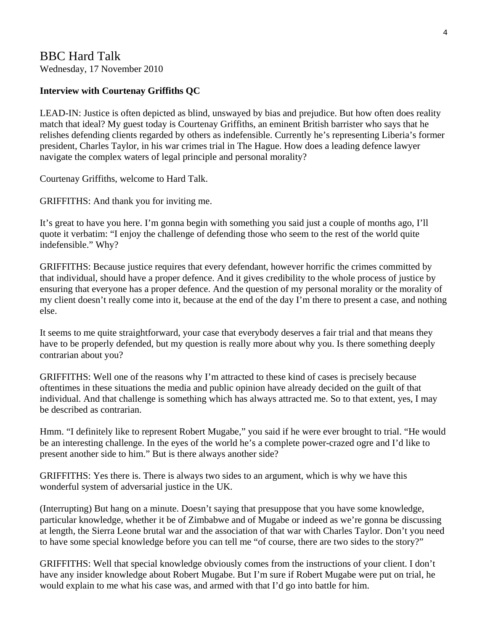## BBC Hard Talk

Wednesday, 17 November 2010

## **Interview with Courtenay Griffiths QC**

LEAD-IN: Justice is often depicted as blind, unswayed by bias and prejudice. But how often does reality match that ideal? My guest today is Courtenay Griffiths, an eminent British barrister who says that he relishes defending clients regarded by others as indefensible. Currently he's representing Liberia's former president, Charles Taylor, in his war crimes trial in The Hague. How does a leading defence lawyer navigate the complex waters of legal principle and personal morality?

Courtenay Griffiths, welcome to Hard Talk.

GRIFFITHS: And thank you for inviting me.

It's great to have you here. I'm gonna begin with something you said just a couple of months ago, I'll quote it verbatim: "I enjoy the challenge of defending those who seem to the rest of the world quite indefensible." Why?

GRIFFITHS: Because justice requires that every defendant, however horrific the crimes committed by that individual, should have a proper defence. And it gives credibility to the whole process of justice by ensuring that everyone has a proper defence. And the question of my personal morality or the morality of my client doesn't really come into it, because at the end of the day I'm there to present a case, and nothing else.

It seems to me quite straightforward, your case that everybody deserves a fair trial and that means they have to be properly defended, but my question is really more about why you. Is there something deeply contrarian about you?

GRIFFITHS: Well one of the reasons why I'm attracted to these kind of cases is precisely because oftentimes in these situations the media and public opinion have already decided on the guilt of that individual. And that challenge is something which has always attracted me. So to that extent, yes, I may be described as contrarian.

Hmm. "I definitely like to represent Robert Mugabe," you said if he were ever brought to trial. "He would be an interesting challenge. In the eyes of the world he's a complete power-crazed ogre and I'd like to present another side to him." But is there always another side?

GRIFFITHS: Yes there is. There is always two sides to an argument, which is why we have this wonderful system of adversarial justice in the UK.

(Interrupting) But hang on a minute. Doesn't saying that presuppose that you have some knowledge, particular knowledge, whether it be of Zimbabwe and of Mugabe or indeed as we're gonna be discussing at length, the Sierra Leone brutal war and the association of that war with Charles Taylor. Don't you need to have some special knowledge before you can tell me "of course, there are two sides to the story?"

GRIFFITHS: Well that special knowledge obviously comes from the instructions of your client. I don't have any insider knowledge about Robert Mugabe. But I'm sure if Robert Mugabe were put on trial, he would explain to me what his case was, and armed with that I'd go into battle for him.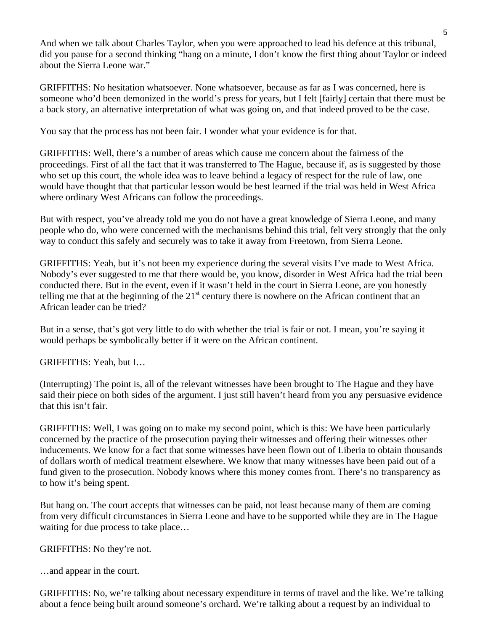And when we talk about Charles Taylor, when you were approached to lead his defence at this tribunal, did you pause for a second thinking "hang on a minute, I don't know the first thing about Taylor or indeed about the Sierra Leone war."

GRIFFITHS: No hesitation whatsoever. None whatsoever, because as far as I was concerned, here is someone who'd been demonized in the world's press for years, but I felt [fairly] certain that there must be a back story, an alternative interpretation of what was going on, and that indeed proved to be the case.

You say that the process has not been fair. I wonder what your evidence is for that.

GRIFFITHS: Well, there's a number of areas which cause me concern about the fairness of the proceedings. First of all the fact that it was transferred to The Hague, because if, as is suggested by those who set up this court, the whole idea was to leave behind a legacy of respect for the rule of law, one would have thought that that particular lesson would be best learned if the trial was held in West Africa where ordinary West Africans can follow the proceedings.

But with respect, you've already told me you do not have a great knowledge of Sierra Leone, and many people who do, who were concerned with the mechanisms behind this trial, felt very strongly that the only way to conduct this safely and securely was to take it away from Freetown, from Sierra Leone.

GRIFFITHS: Yeah, but it's not been my experience during the several visits I've made to West Africa. Nobody's ever suggested to me that there would be, you know, disorder in West Africa had the trial been conducted there. But in the event, even if it wasn't held in the court in Sierra Leone, are you honestly telling me that at the beginning of the  $21<sup>st</sup>$  century there is nowhere on the African continent that an African leader can be tried?

But in a sense, that's got very little to do with whether the trial is fair or not. I mean, you're saying it would perhaps be symbolically better if it were on the African continent.

GRIFFITHS: Yeah, but I…

(Interrupting) The point is, all of the relevant witnesses have been brought to The Hague and they have said their piece on both sides of the argument. I just still haven't heard from you any persuasive evidence that this isn't fair.

GRIFFITHS: Well, I was going on to make my second point, which is this: We have been particularly concerned by the practice of the prosecution paying their witnesses and offering their witnesses other inducements. We know for a fact that some witnesses have been flown out of Liberia to obtain thousands of dollars worth of medical treatment elsewhere. We know that many witnesses have been paid out of a fund given to the prosecution. Nobody knows where this money comes from. There's no transparency as to how it's being spent.

But hang on. The court accepts that witnesses can be paid, not least because many of them are coming from very difficult circumstances in Sierra Leone and have to be supported while they are in The Hague waiting for due process to take place...

GRIFFITHS: No they're not.

…and appear in the court.

GRIFFITHS: No, we're talking about necessary expenditure in terms of travel and the like. We're talking about a fence being built around someone's orchard. We're talking about a request by an individual to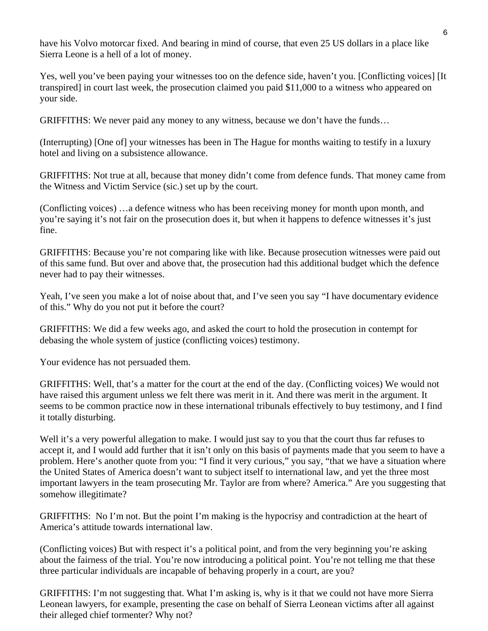have his Volvo motorcar fixed. And bearing in mind of course, that even 25 US dollars in a place like Sierra Leone is a hell of a lot of money.

Yes, well you've been paying your witnesses too on the defence side, haven't you. [Conflicting voices] [It transpired] in court last week, the prosecution claimed you paid \$11,000 to a witness who appeared on your side.

GRIFFITHS: We never paid any money to any witness, because we don't have the funds…

(Interrupting) [One of] your witnesses has been in The Hague for months waiting to testify in a luxury hotel and living on a subsistence allowance.

GRIFFITHS: Not true at all, because that money didn't come from defence funds. That money came from the Witness and Victim Service (sic.) set up by the court.

(Conflicting voices) …a defence witness who has been receiving money for month upon month, and you're saying it's not fair on the prosecution does it, but when it happens to defence witnesses it's just fine.

GRIFFITHS: Because you're not comparing like with like. Because prosecution witnesses were paid out of this same fund. But over and above that, the prosecution had this additional budget which the defence never had to pay their witnesses.

Yeah, I've seen you make a lot of noise about that, and I've seen you say "I have documentary evidence of this." Why do you not put it before the court?

GRIFFITHS: We did a few weeks ago, and asked the court to hold the prosecution in contempt for debasing the whole system of justice (conflicting voices) testimony.

Your evidence has not persuaded them.

GRIFFITHS: Well, that's a matter for the court at the end of the day. (Conflicting voices) We would not have raised this argument unless we felt there was merit in it. And there was merit in the argument. It seems to be common practice now in these international tribunals effectively to buy testimony, and I find it totally disturbing.

Well it's a very powerful allegation to make. I would just say to you that the court thus far refuses to accept it, and I would add further that it isn't only on this basis of payments made that you seem to have a problem. Here's another quote from you: "I find it very curious," you say, "that we have a situation where the United States of America doesn't want to subject itself to international law, and yet the three most important lawyers in the team prosecuting Mr. Taylor are from where? America." Are you suggesting that somehow illegitimate?

GRIFFITHS: No I'm not. But the point I'm making is the hypocrisy and contradiction at the heart of America's attitude towards international law.

(Conflicting voices) But with respect it's a political point, and from the very beginning you're asking about the fairness of the trial. You're now introducing a political point. You're not telling me that these three particular individuals are incapable of behaving properly in a court, are you?

GRIFFITHS: I'm not suggesting that. What I'm asking is, why is it that we could not have more Sierra Leonean lawyers, for example, presenting the case on behalf of Sierra Leonean victims after all against their alleged chief tormenter? Why not?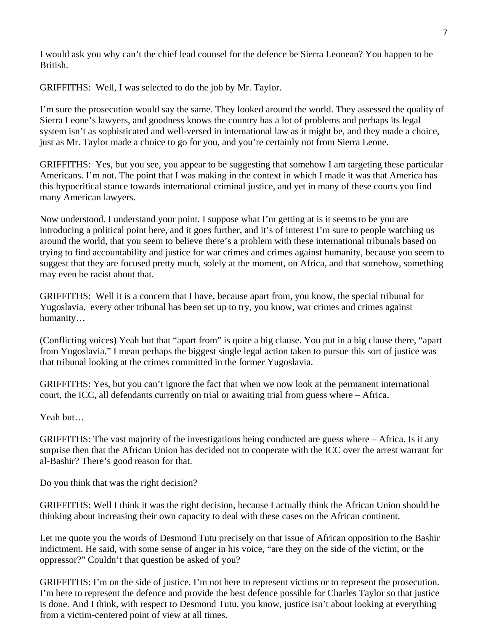I would ask you why can't the chief lead counsel for the defence be Sierra Leonean? You happen to be British.

GRIFFITHS: Well, I was selected to do the job by Mr. Taylor.

I'm sure the prosecution would say the same. They looked around the world. They assessed the quality of Sierra Leone's lawyers, and goodness knows the country has a lot of problems and perhaps its legal system isn't as sophisticated and well-versed in international law as it might be, and they made a choice, just as Mr. Taylor made a choice to go for you, and you're certainly not from Sierra Leone.

GRIFFITHS: Yes, but you see, you appear to be suggesting that somehow I am targeting these particular Americans. I'm not. The point that I was making in the context in which I made it was that America has this hypocritical stance towards international criminal justice, and yet in many of these courts you find many American lawyers.

Now understood. I understand your point. I suppose what I'm getting at is it seems to be you are introducing a political point here, and it goes further, and it's of interest I'm sure to people watching us around the world, that you seem to believe there's a problem with these international tribunals based on trying to find accountability and justice for war crimes and crimes against humanity, because you seem to suggest that they are focused pretty much, solely at the moment, on Africa, and that somehow, something may even be racist about that.

GRIFFITHS: Well it is a concern that I have, because apart from, you know, the special tribunal for Yugoslavia, every other tribunal has been set up to try, you know, war crimes and crimes against humanity…

(Conflicting voices) Yeah but that "apart from" is quite a big clause. You put in a big clause there, "apart from Yugoslavia." I mean perhaps the biggest single legal action taken to pursue this sort of justice was that tribunal looking at the crimes committed in the former Yugoslavia.

GRIFFITHS: Yes, but you can't ignore the fact that when we now look at the permanent international court, the ICC, all defendants currently on trial or awaiting trial from guess where – Africa.

Yeah but…

GRIFFITHS: The vast majority of the investigations being conducted are guess where – Africa. Is it any surprise then that the African Union has decided not to cooperate with the ICC over the arrest warrant for al-Bashir? There's good reason for that.

Do you think that was the right decision?

GRIFFITHS: Well I think it was the right decision, because I actually think the African Union should be thinking about increasing their own capacity to deal with these cases on the African continent.

Let me quote you the words of Desmond Tutu precisely on that issue of African opposition to the Bashir indictment. He said, with some sense of anger in his voice, "are they on the side of the victim, or the oppressor?" Couldn't that question be asked of you?

GRIFFITHS: I'm on the side of justice. I'm not here to represent victims or to represent the prosecution. I'm here to represent the defence and provide the best defence possible for Charles Taylor so that justice is done. And I think, with respect to Desmond Tutu, you know, justice isn't about looking at everything from a victim-centered point of view at all times.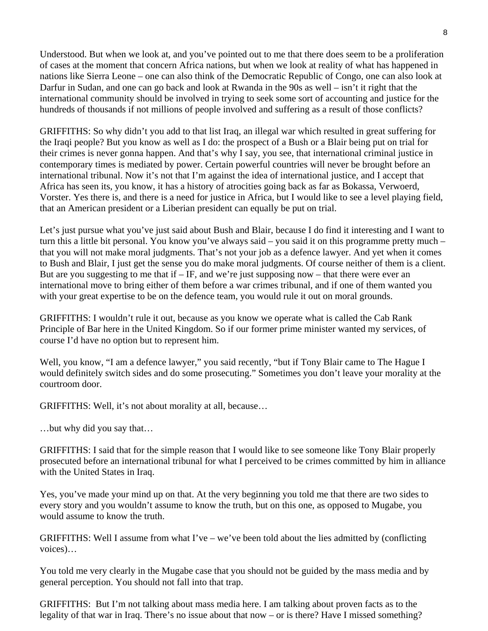Understood. But when we look at, and you've pointed out to me that there does seem to be a proliferation of cases at the moment that concern Africa nations, but when we look at reality of what has happened in nations like Sierra Leone – one can also think of the Democratic Republic of Congo, one can also look at Darfur in Sudan, and one can go back and look at Rwanda in the 90s as well – isn't it right that the international community should be involved in trying to seek some sort of accounting and justice for the hundreds of thousands if not millions of people involved and suffering as a result of those conflicts?

GRIFFITHS: So why didn't you add to that list Iraq, an illegal war which resulted in great suffering for the Iraqi people? But you know as well as I do: the prospect of a Bush or a Blair being put on trial for their crimes is never gonna happen. And that's why I say, you see, that international criminal justice in contemporary times is mediated by power. Certain powerful countries will never be brought before an international tribunal. Now it's not that I'm against the idea of international justice, and I accept that Africa has seen its, you know, it has a history of atrocities going back as far as Bokassa, Verwoerd, Vorster. Yes there is, and there is a need for justice in Africa, but I would like to see a level playing field, that an American president or a Liberian president can equally be put on trial.

Let's just pursue what you've just said about Bush and Blair, because I do find it interesting and I want to turn this a little bit personal. You know you've always said – you said it on this programme pretty much – that you will not make moral judgments. That's not your job as a defence lawyer. And yet when it comes to Bush and Blair, I just get the sense you do make moral judgments. Of course neither of them is a client. But are you suggesting to me that if  $-IF$ , and we're just supposing now – that there were ever an international move to bring either of them before a war crimes tribunal, and if one of them wanted you with your great expertise to be on the defence team, you would rule it out on moral grounds.

GRIFFITHS: I wouldn't rule it out, because as you know we operate what is called the Cab Rank Principle of Bar here in the United Kingdom. So if our former prime minister wanted my services, of course I'd have no option but to represent him.

Well, you know, "I am a defence lawyer," you said recently, "but if Tony Blair came to The Hague I would definitely switch sides and do some prosecuting." Sometimes you don't leave your morality at the courtroom door.

GRIFFITHS: Well, it's not about morality at all, because…

…but why did you say that…

GRIFFITHS: I said that for the simple reason that I would like to see someone like Tony Blair properly prosecuted before an international tribunal for what I perceived to be crimes committed by him in alliance with the United States in Iraq.

Yes, you've made your mind up on that. At the very beginning you told me that there are two sides to every story and you wouldn't assume to know the truth, but on this one, as opposed to Mugabe, you would assume to know the truth.

GRIFFITHS: Well I assume from what I've – we've been told about the lies admitted by (conflicting voices)…

You told me very clearly in the Mugabe case that you should not be guided by the mass media and by general perception. You should not fall into that trap.

GRIFFITHS: But I'm not talking about mass media here. I am talking about proven facts as to the legality of that war in Iraq. There's no issue about that now – or is there? Have I missed something?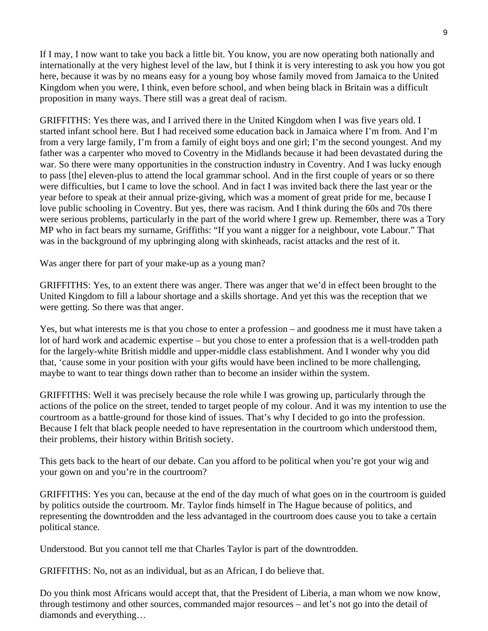If I may, I now want to take you back a little bit. You know, you are now operating both nationally and internationally at the very highest level of the law, but I think it is very interesting to ask you how you got here, because it was by no means easy for a young boy whose family moved from Jamaica to the United Kingdom when you were, I think, even before school, and when being black in Britain was a difficult proposition in many ways. There still was a great deal of racism.

GRIFFITHS: Yes there was, and I arrived there in the United Kingdom when I was five years old. I started infant school here. But I had received some education back in Jamaica where I'm from. And I'm from a very large family, I'm from a family of eight boys and one girl; I'm the second youngest. And my father was a carpenter who moved to Coventry in the Midlands because it had been devastated during the war. So there were many opportunities in the construction industry in Coventry. And I was lucky enough to pass [the] eleven-plus to attend the local grammar school. And in the first couple of years or so there were difficulties, but I came to love the school. And in fact I was invited back there the last year or the year before to speak at their annual prize-giving, which was a moment of great pride for me, because I love public schooling in Coventry. But yes, there was racism. And I think during the 60s and 70s there were serious problems, particularly in the part of the world where I grew up. Remember, there was a Tory MP who in fact bears my surname, Griffiths: "If you want a nigger for a neighbour, vote Labour." That was in the background of my upbringing along with skinheads, racist attacks and the rest of it.

Was anger there for part of your make-up as a young man?

GRIFFITHS: Yes, to an extent there was anger. There was anger that we'd in effect been brought to the United Kingdom to fill a labour shortage and a skills shortage. And yet this was the reception that we were getting. So there was that anger.

Yes, but what interests me is that you chose to enter a profession – and goodness me it must have taken a lot of hard work and academic expertise – but you chose to enter a profession that is a well-trodden path for the largely-white British middle and upper-middle class establishment. And I wonder why you did that, 'cause some in your position with your gifts would have been inclined to be more challenging, maybe to want to tear things down rather than to become an insider within the system.

GRIFFITHS: Well it was precisely because the role while I was growing up, particularly through the actions of the police on the street, tended to target people of my colour. And it was my intention to use the courtroom as a battle-ground for those kind of issues. That's why I decided to go into the profession. Because I felt that black people needed to have representation in the courtroom which understood them, their problems, their history within British society.

This gets back to the heart of our debate. Can you afford to be political when you're got your wig and your gown on and you're in the courtroom?

GRIFFITHS: Yes you can, because at the end of the day much of what goes on in the courtroom is guided by politics outside the courtroom. Mr. Taylor finds himself in The Hague because of politics, and representing the downtrodden and the less advantaged in the courtroom does cause you to take a certain political stance.

Understood. But you cannot tell me that Charles Taylor is part of the downtrodden.

GRIFFITHS: No, not as an individual, but as an African, I do believe that.

Do you think most Africans would accept that, that the President of Liberia, a man whom we now know, through testimony and other sources, commanded major resources – and let's not go into the detail of diamonds and everything…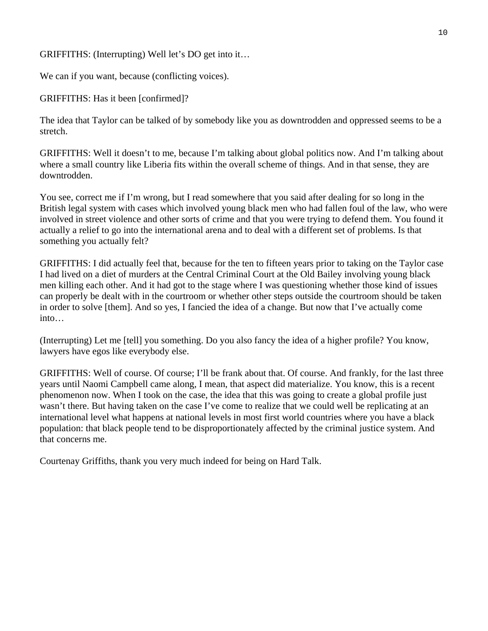GRIFFITHS: (Interrupting) Well let's DO get into it…

We can if you want, because (conflicting voices).

GRIFFITHS: Has it been [confirmed]?

The idea that Taylor can be talked of by somebody like you as downtrodden and oppressed seems to be a stretch.

GRIFFITHS: Well it doesn't to me, because I'm talking about global politics now. And I'm talking about where a small country like Liberia fits within the overall scheme of things. And in that sense, they are downtrodden.

You see, correct me if I'm wrong, but I read somewhere that you said after dealing for so long in the British legal system with cases which involved young black men who had fallen foul of the law, who were involved in street violence and other sorts of crime and that you were trying to defend them. You found it actually a relief to go into the international arena and to deal with a different set of problems. Is that something you actually felt?

GRIFFITHS: I did actually feel that, because for the ten to fifteen years prior to taking on the Taylor case I had lived on a diet of murders at the Central Criminal Court at the Old Bailey involving young black men killing each other. And it had got to the stage where I was questioning whether those kind of issues can properly be dealt with in the courtroom or whether other steps outside the courtroom should be taken in order to solve [them]. And so yes, I fancied the idea of a change. But now that I've actually come into…

(Interrupting) Let me [tell] you something. Do you also fancy the idea of a higher profile? You know, lawyers have egos like everybody else.

GRIFFITHS: Well of course. Of course; I'll be frank about that. Of course. And frankly, for the last three years until Naomi Campbell came along, I mean, that aspect did materialize. You know, this is a recent phenomenon now. When I took on the case, the idea that this was going to create a global profile just wasn't there. But having taken on the case I've come to realize that we could well be replicating at an international level what happens at national levels in most first world countries where you have a black population: that black people tend to be disproportionately affected by the criminal justice system. And that concerns me.

Courtenay Griffiths, thank you very much indeed for being on Hard Talk.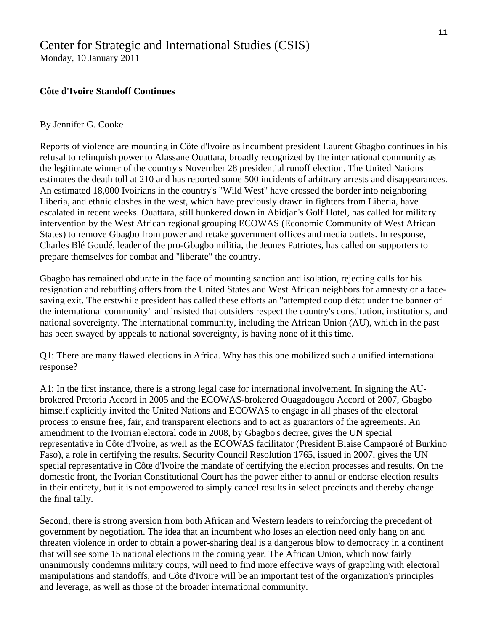## [Center for Strategic and International Studies \(CSIS\)](http://www.csis.org/)

Monday, 10 January 2011

### **Côte d'Ivoire Standoff Continues**

#### By Jennifer G. Cooke

Reports of violence are mounting in Côte d'Ivoire as incumbent president Laurent Gbagbo continues in his refusal to relinquish power to Alassane Ouattara, broadly recognized by the international community as the legitimate winner of the country's November 28 presidential runoff election. The United Nations estimates the death toll at 210 and has reported some 500 incidents of arbitrary arrests and disappearances. An estimated 18,000 Ivoirians in the country's "Wild West" have crossed the border into neighboring Liberia, and ethnic clashes in the west, which have previously drawn in fighters from Liberia, have escalated in recent weeks. Ouattara, still hunkered down in Abidjan's Golf Hotel, has called for military intervention by the West African regional grouping ECOWAS (Economic Community of West African States) to remove Gbagbo from power and retake government offices and media outlets. In response, Charles Blé Goudé, leader of the pro-Gbagbo militia, the Jeunes Patriotes, has called on supporters to prepare themselves for combat and "liberate" the country.

Gbagbo has remained obdurate in the face of mounting sanction and isolation, rejecting calls for his resignation and rebuffing offers from the United States and West African neighbors for amnesty or a facesaving exit. The erstwhile president has called these efforts an "attempted coup d'état under the banner of the international community" and insisted that outsiders respect the country's constitution, institutions, and national sovereignty. The international community, including the African Union (AU), which in the past has been swayed by appeals to national sovereignty, is having none of it this time.

Q1: There are many flawed elections in Africa. Why has this one mobilized such a unified international response?

A1: In the first instance, there is a strong legal case for international involvement. In signing the AUbrokered Pretoria Accord in 2005 and the ECOWAS-brokered Ouagadougou Accord of 2007, Gbagbo himself explicitly invited the United Nations and ECOWAS to engage in all phases of the electoral process to ensure free, fair, and transparent elections and to act as guarantors of the agreements. An amendment to the Ivoirian electoral code in 2008, by Gbagbo's decree, gives the UN special representative in Côte d'Ivoire, as well as the ECOWAS facilitator (President Blaise Campaoré of Burkino Faso), a role in certifying the results. Security Council Resolution 1765, issued in 2007, gives the UN special representative in Côte d'Ivoire the mandate of certifying the election processes and results. On the domestic front, the Ivorian Constitutional Court has the power either to annul or endorse election results in their entirety, but it is not empowered to simply cancel results in select precincts and thereby change the final tally.

Second, there is strong aversion from both African and Western leaders to reinforcing the precedent of government by negotiation. The idea that an incumbent who loses an election need only hang on and threaten violence in order to obtain a power-sharing deal is a dangerous blow to democracy in a continent that will see some 15 national elections in the coming year. The African Union, which now fairly unanimously condemns military coups, will need to find more effective ways of grappling with electoral manipulations and standoffs, and Côte d'Ivoire will be an important test of the organization's principles and leverage, as well as those of the broader international community.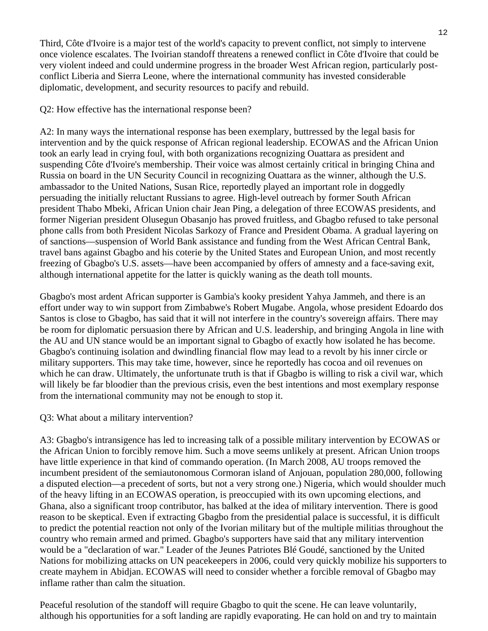Third, Côte d'Ivoire is a major test of the world's capacity to prevent conflict, not simply to intervene once violence escalates. The Ivoirian standoff threatens a renewed conflict in Côte d'Ivoire that could be very violent indeed and could undermine progress in the broader West African region, particularly postconflict Liberia and Sierra Leone, where the international community has invested considerable diplomatic, development, and security resources to pacify and rebuild.

#### Q2: How effective has the international response been?

A2: In many ways the international response has been exemplary, buttressed by the legal basis for intervention and by the quick response of African regional leadership. ECOWAS and the African Union took an early lead in crying foul, with both organizations recognizing Ouattara as president and suspending Côte d'Ivoire's membership. Their voice was almost certainly critical in bringing China and Russia on board in the UN Security Council in recognizing Ouattara as the winner, although the U.S. ambassador to the United Nations, Susan Rice, reportedly played an important role in doggedly persuading the initially reluctant Russians to agree. High-level outreach by former South African president Thabo Mbeki, African Union chair Jean Ping, a delegation of three ECOWAS presidents, and former Nigerian president Olusegun Obasanjo has proved fruitless, and Gbagbo refused to take personal phone calls from both President Nicolas Sarkozy of France and President Obama. A gradual layering on of sanctions—suspension of World Bank assistance and funding from the West African Central Bank, travel bans against Gbagbo and his coterie by the United States and European Union, and most recently freezing of Gbagbo's U.S. assets—have been accompanied by offers of amnesty and a face-saving exit, although international appetite for the latter is quickly waning as the death toll mounts.

Gbagbo's most ardent African supporter is Gambia's kooky president Yahya Jammeh, and there is an effort under way to win support from Zimbabwe's Robert Mugabe. Angola, whose president Edoardo dos Santos is close to Gbagbo, has said that it will not interfere in the country's sovereign affairs. There may be room for diplomatic persuasion there by African and U.S. leadership, and bringing Angola in line with the AU and UN stance would be an important signal to Gbagbo of exactly how isolated he has become. Gbagbo's continuing isolation and dwindling financial flow may lead to a revolt by his inner circle or military supporters. This may take time, however, since he reportedly has cocoa and oil revenues on which he can draw. Ultimately, the unfortunate truth is that if Gbagbo is willing to risk a civil war, which will likely be far bloodier than the previous crisis, even the best intentions and most exemplary response from the international community may not be enough to stop it.

#### Q3: What about a military intervention?

A3: Gbagbo's intransigence has led to increasing talk of a possible military intervention by ECOWAS or the African Union to forcibly remove him. Such a move seems unlikely at present. African Union troops have little experience in that kind of commando operation. (In March 2008, AU troops removed the incumbent president of the semiautonomous Cormoran island of Anjouan, population 280,000, following a disputed election—a precedent of sorts, but not a very strong one.) Nigeria, which would shoulder much of the heavy lifting in an ECOWAS operation, is preoccupied with its own upcoming elections, and Ghana, also a significant troop contributor, has balked at the idea of military intervention. There is good reason to be skeptical. Even if extracting Gbagbo from the presidential palace is successful, it is difficult to predict the potential reaction not only of the Ivorian military but of the multiple militias throughout the country who remain armed and primed. Gbagbo's supporters have said that any military intervention would be a "declaration of war." Leader of the Jeunes Patriotes Blé Goudé, sanctioned by the United Nations for mobilizing attacks on UN peacekeepers in 2006, could very quickly mobilize his supporters to create mayhem in Abidjan. ECOWAS will need to consider whether a forcible removal of Gbagbo may inflame rather than calm the situation.

Peaceful resolution of the standoff will require Gbagbo to quit the scene. He can leave voluntarily, although his opportunities for a soft landing are rapidly evaporating. He can hold on and try to maintain